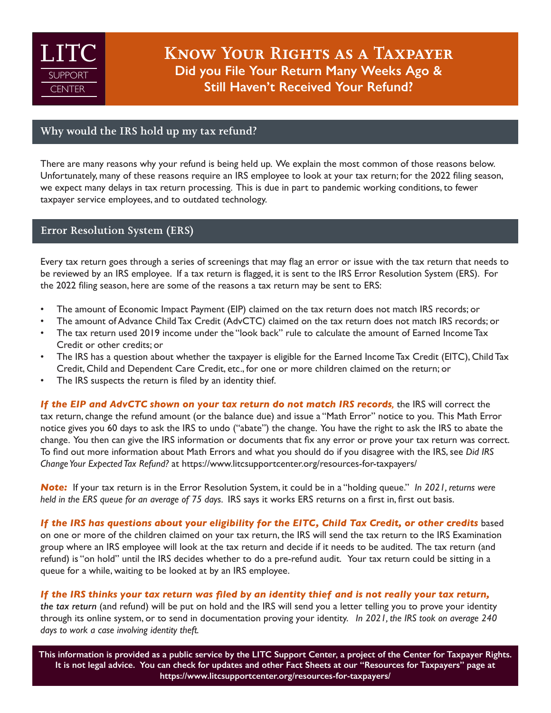

Know Your Rights as a Taxpayer **Did you File Your Return Many Weeks Ago & Still Haven't Received Your Refund?**

# Why would the IRS hold up my tax refund?

There are many reasons why your refund is being held up. We explain the most common of those reasons below. Unfortunately, many of these reasons require an IRS employee to look at your tax return; for the 2022 filing season, we expect many delays in tax return processing. This is due in part to pandemic working conditions, to fewer taxpayer service employees, and to outdated technology.

## Error Resolution System (ERS)

Every tax return goes through a series of screenings that may flag an error or issue with the tax return that needs to be reviewed by an IRS employee. If a tax return is flagged, it is sent to the IRS Error Resolution System (ERS). For the 2022 filing season, here are some of the reasons a tax return may be sent to ERS:

- The amount of Economic Impact Payment (EIP) claimed on the tax return does not match IRS records; or
- The amount of Advance Child Tax Credit (AdvCTC) claimed on the tax return does not match IRS records; or
- The tax return used 2019 income under the "look back" rule to calculate the amount of Earned Income Tax Credit or other credits; or
- The IRS has a question about whether the taxpayer is eligible for the Earned Income Tax Credit (EITC), Child Tax Credit, Child and Dependent Care Credit, etc., for one or more children claimed on the return; or
- The IRS suspects the return is filed by an identity thief.

*If the EIP and AdvCTC shown on your tax return do not match IRS records,* the IRS will correct the tax return, change the refund amount (or the balance due) and issue a "Math Error" notice to you. This Math Error notice gives you 60 days to ask the IRS to undo ("abate") the change. You have the right to ask the IRS to abate the change. You then can give the IRS information or documents that fix any error or prove your tax return was correct. To find out more information about Math Errors and what you should do if you disagree with the IRS, see *Did IRS Change Your Expected Tax Refund?* at https://www.litcsupportcenter.org/resources-for-taxpayers/

*Note:* If your tax return is in the Error Resolution System, it could be in a "holding queue." *In 2021, returns were held in the ERS queue for an average of 75 days.* IRS says it works ERS returns on a first in, first out basis.

If the IRS has questions about your eligibility for the EITC, Child Tax Credit, or other credits based on one or more of the children claimed on your tax return, the IRS will send the tax return to the IRS Examination group where an IRS employee will look at the tax return and decide if it needs to be audited. The tax return (and refund) is "on hold" until the IRS decides whether to do a pre-refund audit. Your tax return could be sitting in a queue for a while, waiting to be looked at by an IRS employee.

#### *If the IRS thinks your tax return was filed by an identity thief and is not really your tax return,*

*the tax return* (and refund) will be put on hold and the IRS will send you a letter telling you to prove your identity through its online system, or to send in documentation proving your identity. *In 2021, the IRS took on average 240 days to work a case involving identity theft.*

**This information is provided as a public service by the [LITC Support Center](https://litcsupportcenter.org), a project of the [Center for Taxpayer Rights.](https://www.taxpayer-rights.org) It is not legal advice. You can check for updates and other Fact Sheets at our "Resources for Taxpayers" page at [https://www.litcsupportcenter.org/resources-for-taxpayers/](http://www.litcsupportcenter.org/resources-for-taxpayers/)**